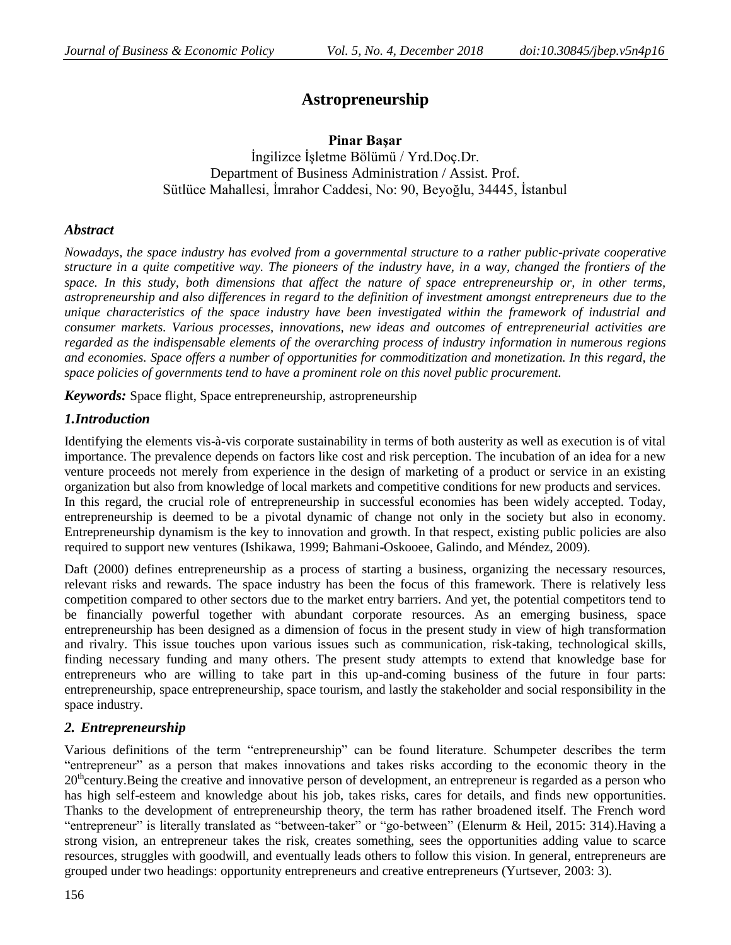# **Astropreneurship**

**Pinar Başar** İngilizce İşletme Bölümü / Yrd.Doç.Dr. Department of Business Administration / Assist. Prof. Sütlüce Mahallesi, İmrahor Caddesi, No: 90, Beyoğlu, 34445, İstanbul

## *Abstract*

*Nowadays, the space industry has evolved from a governmental structure to a rather public-private cooperative structure in a quite competitive way. The pioneers of the industry have, in a way, changed the frontiers of the space. In this study, both dimensions that affect the nature of space entrepreneurship or, in other terms, astropreneurship and also differences in regard to the definition of investment amongst entrepreneurs due to the unique characteristics of the space industry have been investigated within the framework of industrial and consumer markets. Various processes, innovations, new ideas and outcomes of entrepreneurial activities are regarded as the indispensable elements of the overarching process of industry information in numerous regions and economies. Space offers a number of opportunities for commoditization and monetization. In this regard, the space policies of governments tend to have a prominent role on this novel public procurement.*

*Keywords:* Space flight, Space entrepreneurship, astropreneurship

# *1.Introduction*

Identifying the elements vis-à-vis corporate sustainability in terms of both austerity as well as execution is of vital importance. The prevalence depends on factors like cost and risk perception. The incubation of an idea for a new venture proceeds not merely from experience in the design of marketing of a product or service in an existing organization but also from knowledge of local markets and competitive conditions for new products and services. In this regard, the crucial role of entrepreneurship in successful economies has been widely accepted. Today, entrepreneurship is deemed to be a pivotal dynamic of change not only in the society but also in economy. Entrepreneurship dynamism is the key to innovation and growth. In that respect, existing public policies are also required to support new ventures (Ishikawa, 1999; Bahmani-Oskooee, Galindo, and Méndez, 2009).

Daft (2000) defines entrepreneurship as a process of starting a business, organizing the necessary resources, relevant risks and rewards. The space industry has been the focus of this framework. There is relatively less competition compared to other sectors due to the market entry barriers. And yet, the potential competitors tend to be financially powerful together with abundant corporate resources. As an emerging business, space entrepreneurship has been designed as a dimension of focus in the present study in view of high transformation and rivalry. This issue touches upon various issues such as communication, risk-taking, technological skills, finding necessary funding and many others. The present study attempts to extend that knowledge base for entrepreneurs who are willing to take part in this up-and-coming business of the future in four parts: entrepreneurship, space entrepreneurship, space tourism, and lastly the stakeholder and social responsibility in the space industry.

## *2. Entrepreneurship*

Various definitions of the term "entrepreneurship" can be found literature. Schumpeter describes the term ―entrepreneur‖ as a person that makes innovations and takes risks according to the economic theory in the  $20<sup>th</sup>$ century.Being the creative and innovative person of development, an entrepreneur is regarded as a person who has high self-esteem and knowledge about his job, takes risks, cares for details, and finds new opportunities. Thanks to the development of entrepreneurship theory, the term has rather broadened itself. The French word "entrepreneur" is literally translated as "between-taker" or "go-between" (Elenurm & Heil, 2015: 314).Having a strong vision, an entrepreneur takes the risk, creates something, sees the opportunities adding value to scarce resources, struggles with goodwill, and eventually leads others to follow this vision. In general, entrepreneurs are grouped under two headings: opportunity entrepreneurs and creative entrepreneurs (Yurtsever, 2003: 3).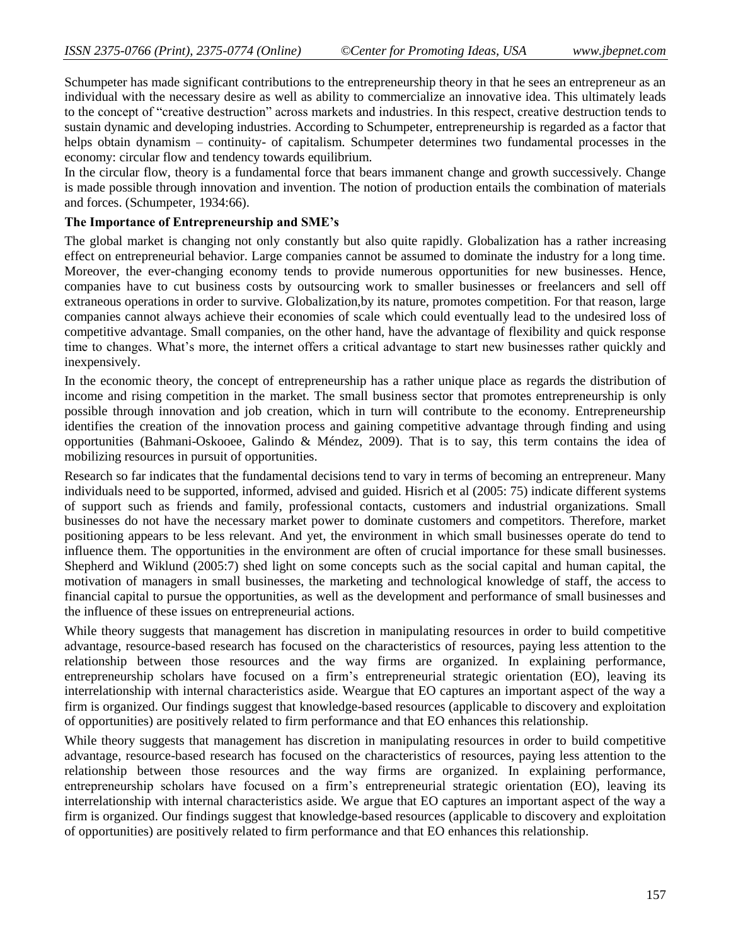Schumpeter has made significant contributions to the entrepreneurship theory in that he sees an entrepreneur as an individual with the necessary desire as well as ability to commercialize an innovative idea. This ultimately leads to the concept of "creative destruction" across markets and industries. In this respect, creative destruction tends to sustain dynamic and developing industries. According to Schumpeter, entrepreneurship is regarded as a factor that helps obtain dynamism – continuity- of capitalism. Schumpeter determines two fundamental processes in the economy: circular flow and tendency towards equilibrium.

In the circular flow, theory is a fundamental force that bears immanent change and growth successively. Change is made possible through innovation and invention. The notion of production entails the combination of materials and forces. (Schumpeter, 1934:66).

#### **The Importance of Entrepreneurship and SME's**

The global market is changing not only constantly but also quite rapidly. Globalization has a rather increasing effect on entrepreneurial behavior. Large companies cannot be assumed to dominate the industry for a long time. Moreover, the ever-changing economy tends to provide numerous opportunities for new businesses. Hence, companies have to cut business costs by outsourcing work to smaller businesses or freelancers and sell off extraneous operations in order to survive. Globalization,by its nature, promotes competition. For that reason, large companies cannot always achieve their economies of scale which could eventually lead to the undesired loss of competitive advantage. Small companies, on the other hand, have the advantage of flexibility and quick response time to changes. What's more, the internet offers a critical advantage to start new businesses rather quickly and inexpensively.

In the economic theory, the concept of entrepreneurship has a rather unique place as regards the distribution of income and rising competition in the market. The small business sector that promotes entrepreneurship is only possible through innovation and job creation, which in turn will contribute to the economy. Entrepreneurship identifies the creation of the innovation process and gaining competitive advantage through finding and using opportunities (Bahmani-Oskooee, Galindo & Méndez, 2009). That is to say, this term contains the idea of mobilizing resources in pursuit of opportunities.

Research so far indicates that the fundamental decisions tend to vary in terms of becoming an entrepreneur. Many individuals need to be supported, informed, advised and guided. Hisrich et al (2005: 75) indicate different systems of support such as friends and family, professional contacts, customers and industrial organizations. Small businesses do not have the necessary market power to dominate customers and competitors. Therefore, market positioning appears to be less relevant. And yet, the environment in which small businesses operate do tend to influence them. The opportunities in the environment are often of crucial importance for these small businesses. Shepherd and Wiklund (2005:7) shed light on some concepts such as the social capital and human capital, the motivation of managers in small businesses, the marketing and technological knowledge of staff, the access to financial capital to pursue the opportunities, as well as the development and performance of small businesses and the influence of these issues on entrepreneurial actions.

While theory suggests that management has discretion in manipulating resources in order to build competitive advantage, resource-based research has focused on the characteristics of resources, paying less attention to the relationship between those resources and the way firms are organized. In explaining performance, entrepreneurship scholars have focused on a firm's entrepreneurial strategic orientation (EO), leaving its interrelationship with internal characteristics aside. Weargue that EO captures an important aspect of the way a firm is organized. Our findings suggest that knowledge-based resources (applicable to discovery and exploitation of opportunities) are positively related to firm performance and that EO enhances this relationship.

While theory suggests that management has discretion in manipulating resources in order to build competitive advantage, resource-based research has focused on the characteristics of resources, paying less attention to the relationship between those resources and the way firms are organized. In explaining performance, entrepreneurship scholars have focused on a firm's entrepreneurial strategic orientation (EO), leaving its interrelationship with internal characteristics aside. We argue that EO captures an important aspect of the way a firm is organized. Our findings suggest that knowledge-based resources (applicable to discovery and exploitation of opportunities) are positively related to firm performance and that EO enhances this relationship.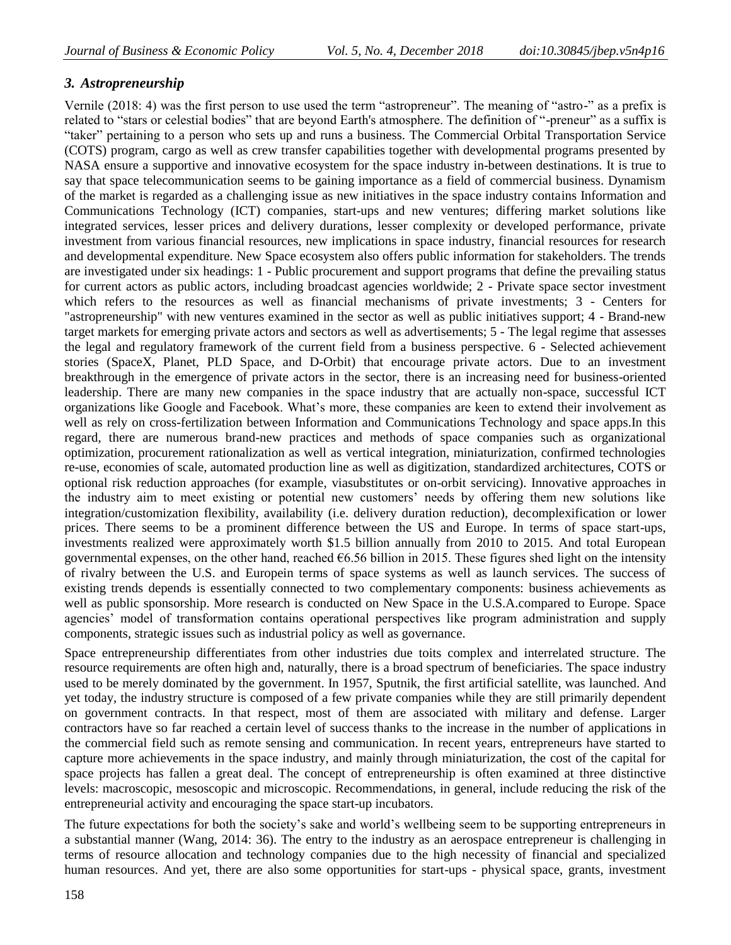# *3. Astropreneurship*

Vernile (2018: 4) was the first person to use used the term "astropreneur". The meaning of "astro-" as a prefix is related to "stars or celestial bodies" that are beyond Earth's atmosphere. The definition of "-preneur" as a suffix is ―taker‖ pertaining to a person who sets up and runs a business. The Commercial Orbital Transportation Service (COTS) program, cargo as well as crew transfer capabilities together with developmental programs presented by NASA ensure a supportive and innovative ecosystem for the space industry in-between destinations. It is true to say that space telecommunication seems to be gaining importance as a field of commercial business. Dynamism of the market is regarded as a challenging issue as new initiatives in the space industry contains Information and Communications Technology (ICT) companies, start-ups and new ventures; differing market solutions like integrated services, lesser prices and delivery durations, lesser complexity or developed performance, private investment from various financial resources, new implications in space industry, financial resources for research and developmental expenditure. New Space ecosystem also offers public information for stakeholders. The trends are investigated under six headings: 1 - Public procurement and support programs that define the prevailing status for current actors as public actors, including broadcast agencies worldwide; 2 - Private space sector investment which refers to the resources as well as financial mechanisms of private investments; 3 - Centers for "astropreneurship" with new ventures examined in the sector as well as public initiatives support; 4 - Brand-new target markets for emerging private actors and sectors as well as advertisements; 5 - The legal regime that assesses the legal and regulatory framework of the current field from a business perspective. 6 - Selected achievement stories (SpaceX, Planet, PLD Space, and D-Orbit) that encourage private actors. Due to an investment breakthrough in the emergence of private actors in the sector, there is an increasing need for business-oriented leadership. There are many new companies in the space industry that are actually non-space, successful ICT organizations like Google and Facebook. What's more, these companies are keen to extend their involvement as well as rely on cross-fertilization between Information and Communications Technology and space apps.In this regard, there are numerous brand-new practices and methods of space companies such as organizational optimization, procurement rationalization as well as vertical integration, miniaturization, confirmed technologies re-use, economies of scale, automated production line as well as digitization, standardized architectures, COTS or optional risk reduction approaches (for example, viasubstitutes or on-orbit servicing). Innovative approaches in the industry aim to meet existing or potential new customers' needs by offering them new solutions like integration/customization flexibility, availability (i.e. delivery duration reduction), decomplexification or lower prices. There seems to be a prominent difference between the US and Europe. In terms of space start-ups, investments realized were approximately worth \$1.5 billion annually from 2010 to 2015. And total European governmental expenses, on the other hand, reached  $66.56$  billion in 2015. These figures shed light on the intensity of rivalry between the U.S. and Europein terms of space systems as well as launch services. The success of existing trends depends is essentially connected to two complementary components: business achievements as well as public sponsorship. More research is conducted on New Space in the U.S.A.compared to Europe. Space agencies' model of transformation contains operational perspectives like program administration and supply components, strategic issues such as industrial policy as well as governance.

Space entrepreneurship differentiates from other industries due toits complex and interrelated structure. The resource requirements are often high and, naturally, there is a broad spectrum of beneficiaries. The space industry used to be merely dominated by the government. In 1957, Sputnik, the first artificial satellite, was launched. And yet today, the industry structure is composed of a few private companies while they are still primarily dependent on government contracts. In that respect, most of them are associated with military and defense. Larger contractors have so far reached a certain level of success thanks to the increase in the number of applications in the commercial field such as remote sensing and communication. In recent years, entrepreneurs have started to capture more achievements in the space industry, and mainly through miniaturization, the cost of the capital for space projects has fallen a great deal. The concept of entrepreneurship is often examined at three distinctive levels: macroscopic, mesoscopic and microscopic. Recommendations, in general, include reducing the risk of the entrepreneurial activity and encouraging the space start-up incubators.

The future expectations for both the society's sake and world's wellbeing seem to be supporting entrepreneurs in a substantial manner (Wang, 2014: 36). The entry to the industry as an aerospace entrepreneur is challenging in terms of resource allocation and technology companies due to the high necessity of financial and specialized human resources. And yet, there are also some opportunities for start-ups - physical space, grants, investment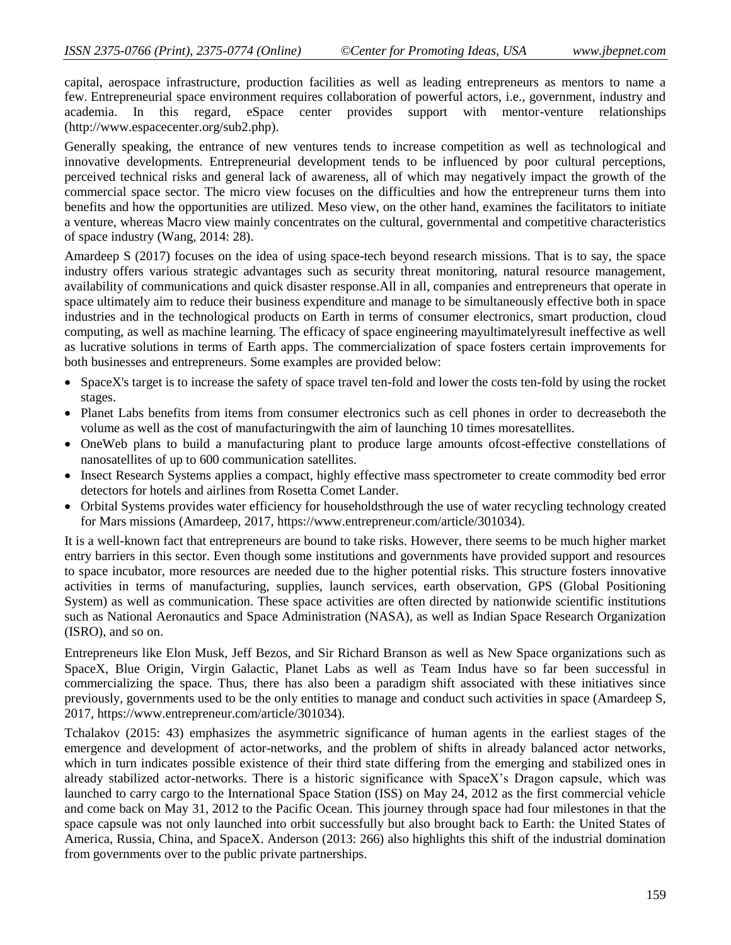capital, aerospace infrastructure, production facilities as well as leading entrepreneurs as mentors to name a few. Entrepreneurial space environment requires collaboration of powerful actors, i.e., government, industry and academia. In this regard, eSpace center provides support with mentor-venture relationships [\(http://www.espacecenter.org/sub2.php\)](http://www.espacecenter.org/sub2.php).

Generally speaking, the entrance of new ventures tends to increase competition as well as technological and innovative developments. Entrepreneurial development tends to be influenced by poor cultural perceptions, perceived technical risks and general lack of awareness, all of which may negatively impact the growth of the commercial space sector. The micro view focuses on the difficulties and how the entrepreneur turns them into benefits and how the opportunities are utilized. Meso view, on the other hand, examines the facilitators to initiate a venture, whereas Macro view mainly concentrates on the cultural, governmental and competitive characteristics of space industry (Wang, 2014: 28).

Amardeep S (2017) focuses on the idea of using space-tech beyond research missions. That is to say, the space industry offers various strategic advantages such as security threat monitoring, natural resource management, availability of communications and quick disaster response.All in all, companies and entrepreneurs that operate in space ultimately aim to reduce their business expenditure and manage to be simultaneously effective both in space industries and in the technological products on Earth in terms of consumer electronics, smart production, cloud computing, as well as machine learning. The efficacy of space engineering mayultimatelyresult ineffective as well as lucrative solutions in terms of Earth apps. The commercialization of space fosters certain improvements for both businesses and entrepreneurs. Some examples are provided below:

- SpaceX's target is to increase the safety of space travel ten-fold and lower the costs ten-fold by using the rocket stages.
- Planet Labs benefits from items from consumer electronics such as cell phones in order to decreaseboth the volume as well as the cost of manufacturingwith the aim of launching 10 times moresatellites.
- OneWeb plans to build a manufacturing plant to produce large amounts ofcost-effective constellations of nanosatellites of up to 600 communication satellites.
- Insect Research Systems applies a compact, highly effective mass spectrometer to create commodity bed error detectors for hotels and airlines from Rosetta Comet Lander.
- Orbital Systems provides water efficiency for householdsthrough the use of water recycling technology created for Mars missions (Amardeep, 2017, [https://www.entrepreneur.com/article/301034\)](https://www.entrepreneur.com/article/301034).

It is a well-known fact that entrepreneurs are bound to take risks. However, there seems to be much higher market entry barriers in this sector. Even though some institutions and governments have provided support and resources to space incubator, more resources are needed due to the higher potential risks. This structure fosters innovative activities in terms of manufacturing, supplies, launch services, earth observation, GPS (Global Positioning System) as well as communication. These space activities are often directed by nationwide scientific institutions such as National Aeronautics and Space Administration (NASA), as well as Indian Space Research Organization (ISRO), and so on.

Entrepreneurs like Elon Musk, Jeff Bezos, and Sir Richard Branson as well as New Space organizations such as SpaceX, Blue Origin, Virgin Galactic, Planet Labs as well as Team Indus have so far been successful in commercializing the space. Thus, there has also been a paradigm shift associated with these initiatives since previously, governments used to be the only entities to manage and conduct such activities in space (Amardeep S, 2017, [https://www.entrepreneur.com/article/301034\)](https://www.entrepreneur.com/article/301034).

Tchalakov (2015: 43) emphasizes the asymmetric significance of human agents in the earliest stages of the emergence and development of actor-networks, and the problem of shifts in already balanced actor networks, which in turn indicates possible existence of their third state differing from the emerging and stabilized ones in already stabilized actor-networks. There is a historic significance with SpaceX's Dragon capsule, which was launched to carry cargo to the International Space Station (ISS) on May 24, 2012 as the first commercial vehicle and come back on May 31, 2012 to the Pacific Ocean. This journey through space had four milestones in that the space capsule was not only launched into orbit successfully but also brought back to Earth: the United States of America, Russia, China, and SpaceX. Anderson (2013: 266) also highlights this shift of the industrial domination from governments over to the public private partnerships.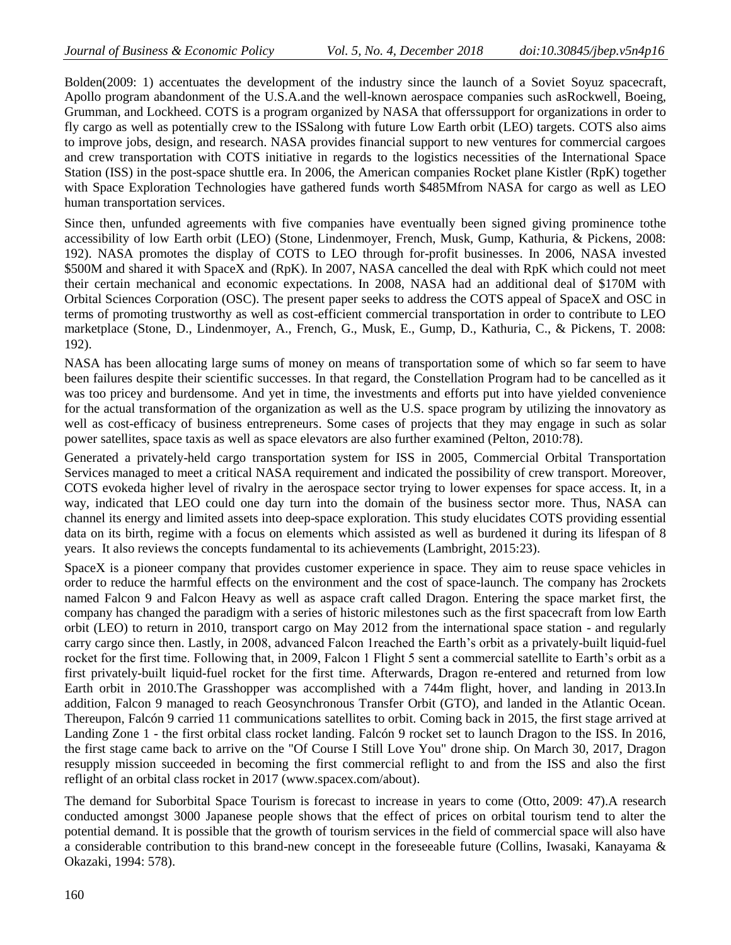Bolden(2009: 1) accentuates the development of the industry since the launch of a Soviet Soyuz spacecraft, Apollo program abandonment of the U.S.A.and the well-known aerospace companies such asRockwell, Boeing, Grumman, and Lockheed. COTS is a program organized by NASA that offerssupport for organizations in order to fly cargo as well as potentially crew to the ISSalong with future Low Earth orbit (LEO) targets. COTS also aims to improve jobs, design, and research. NASA provides financial support to new ventures for commercial cargoes and crew transportation with COTS initiative in regards to the logistics necessities of the International Space Station (ISS) in the post-space shuttle era. In 2006, the American companies Rocket plane Kistler (RpK) together with Space Exploration Technologies have gathered funds worth \$485Mfrom NASA for cargo as well as LEO human transportation services.

Since then, unfunded agreements with five companies have eventually been signed giving prominence tothe accessibility of low Earth orbit (LEO) (Stone, Lindenmoyer, French, Musk, Gump, Kathuria, & Pickens, 2008: 192). NASA promotes the display of COTS to LEO through for-profit businesses. In 2006, NASA invested \$500M and shared it with SpaceX and (RpK). In 2007, NASA cancelled the deal with RpK which could not meet their certain mechanical and economic expectations. In 2008, NASA had an additional deal of \$170M with Orbital Sciences Corporation (OSC). The present paper seeks to address the COTS appeal of SpaceX and OSC in terms of promoting trustworthy as well as cost-efficient commercial transportation in order to contribute to LEO marketplace (Stone, D., Lindenmoyer, A., French, G., Musk, E., Gump, D., Kathuria, C., & Pickens, T. 2008: 192).

NASA has been allocating large sums of money on means of transportation some of which so far seem to have been failures despite their scientific successes. In that regard, the Constellation Program had to be cancelled as it was too pricey and burdensome. And yet in time, the investments and efforts put into have yielded convenience for the actual transformation of the organization as well as the U.S. space program by utilizing the innovatory as well as cost-efficacy of business entrepreneurs. Some cases of projects that they may engage in such as solar power satellites, space taxis as well as space elevators are also further examined (Pelton, 2010:78).

Generated a privately-held cargo transportation system for ISS in 2005, Commercial Orbital Transportation Services managed to meet a critical NASA requirement and indicated the possibility of crew transport. Moreover, COTS evokeda higher level of rivalry in the aerospace sector trying to lower expenses for space access. It, in a way, indicated that LEO could one day turn into the domain of the business sector more. Thus, NASA can channel its energy and limited assets into deep-space exploration. This study elucidates COTS providing essential data on its birth, regime with a focus on elements which assisted as well as burdened it during its lifespan of 8 years. It also reviews the concepts fundamental to its achievements (Lambright, 2015:23).

SpaceX is a pioneer company that provides customer experience in space. They aim to reuse space vehicles in order to reduce the harmful effects on the environment and the cost of space-launch. The company has 2rockets named Falcon 9 and Falcon Heavy as well as aspace craft called Dragon. Entering the space market first, the company has changed the paradigm with a series of historic milestones such as the first spacecraft from low Earth orbit (LEO) to return in 2010, transport cargo on May 2012 from the international space station - and regularly carry cargo since then. Lastly, in 2008, advanced Falcon 1reached the Earth's orbit as a privately-built liquid-fuel rocket for the first time. Following that, in 2009, Falcon 1 Flight 5 sent a commercial satellite to Earth's orbit as a first privately-built liquid-fuel rocket for the first time. Afterwards, Dragon re-entered and returned from low Earth orbit in 2010.The Grasshopper was accomplished with a 744m flight, hover, and landing in 2013.In addition, Falcon 9 managed to reach Geosynchronous Transfer Orbit (GTO), and landed in the Atlantic Ocean. Thereupon, Falcón 9 carried 11 communications satellites to orbit. Coming back in 2015, the first stage arrived at Landing Zone 1 - the first orbital class rocket landing. Falcón 9 rocket set to launch Dragon to the ISS. In 2016, the first stage came back to arrive on the "Of Course I Still Love You" drone ship. On March 30, 2017, Dragon resupply mission succeeded in becoming the first commercial reflight to and from the ISS and also the first reflight of an orbital class rocket in 2017 [\(www.spacex.com/about\)](http://www.spacex.com/about).

The demand for Suborbital Space Tourism is forecast to increase in years to come [\(Otto,](https://www.google.com.tr/search?tbm=bks&q=inauthor:%22Matthias+Otto%22&sa=X&ved=0ahUKEwjI4oTq3c3bAhUEZ1AKHacbDboQ9AgIKjAA) 2009: 47).A research conducted amongst 3000 Japanese people shows that the effect of prices on orbital tourism tend to alter the potential demand. It is possible that the growth of tourism services in the field of commercial space will also have a considerable contribution to this brand-new concept in the foreseeable future (Collins, Iwasaki, Kanayama & Okazaki, 1994: 578).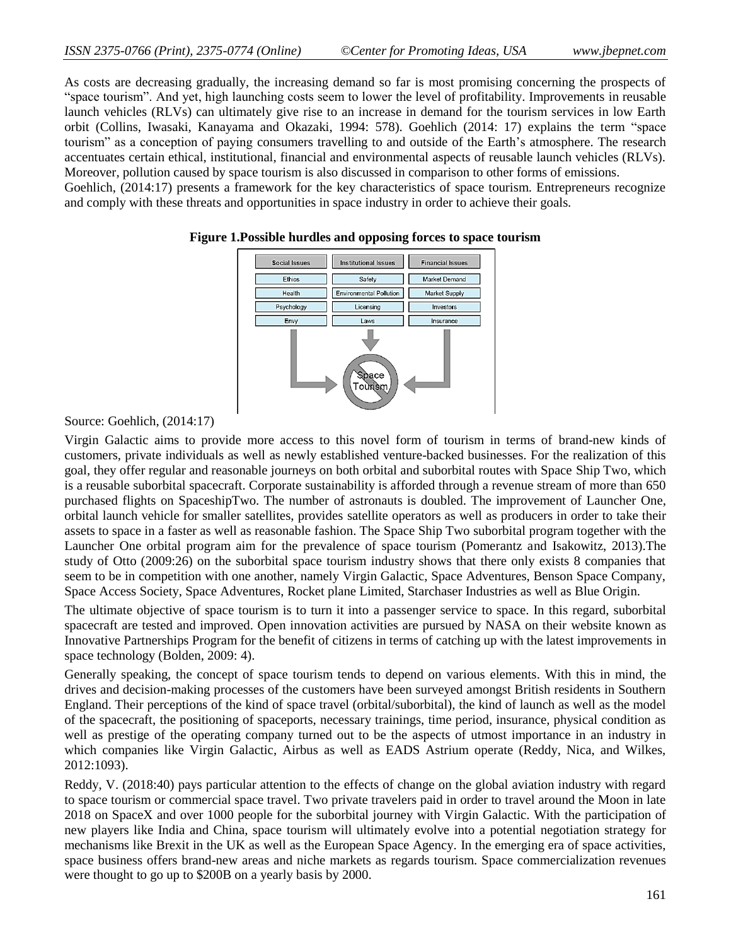and comply with these threats and opportunities in space industry in order to achieve their goals.

As costs are decreasing gradually, the increasing demand so far is most promising concerning the prospects of ―space tourism‖. And yet, high launching costs seem to lower the level of profitability. Improvements in reusable launch vehicles (RLVs) can ultimately give rise to an increase in demand for the tourism services in low Earth orbit (Collins, Iwasaki, Kanayama and Okazaki, 1994: 578). Goehlich (2014: 17) explains the term "space tourism‖ as a conception of paying consumers travelling to and outside of the Earth's atmosphere. The research accentuates certain ethical, institutional, financial and environmental aspects of reusable launch vehicles (RLVs). Moreover, pollution caused by space tourism is also discussed in comparison to other forms of emissions. Goehlich, (2014:17) presents a framework for the key characteristics of space tourism. Entrepreneurs recognize



#### **Figure 1.Possible hurdles and opposing forces to space tourism**

Source: Goehlich, (2014:17)

Virgin Galactic aims to provide more access to this novel form of tourism in terms of brand-new kinds of customers, private individuals as well as newly established venture-backed businesses. For the realization of this goal, they offer regular and reasonable journeys on both orbital and suborbital routes with Space Ship Two, which is a reusable suborbital spacecraft. Corporate sustainability is afforded through a revenue stream of more than 650 purchased flights on SpaceshipTwo. The number of astronauts is doubled. The improvement of Launcher One, orbital launch vehicle for smaller satellites, provides satellite operators as well as producers in order to take their assets to space in a faster as well as reasonable fashion. The Space Ship Two suborbital program together with the Launcher One orbital program aim for the prevalence of space tourism (Pomerantz and Isakowitz, 2013).The study of Otto (2009:26) on the suborbital space tourism industry shows that there only exists 8 companies that seem to be in competition with one another, namely Virgin Galactic, Space Adventures, Benson Space Company, Space Access Society, Space Adventures, Rocket plane Limited, Starchaser Industries as well as Blue Origin.

The ultimate objective of space tourism is to turn it into a passenger service to space. In this regard, suborbital spacecraft are tested and improved. Open innovation activities are pursued by NASA on their website known as Innovative Partnerships Program for the benefit of citizens in terms of catching up with the latest improvements in space technology (Bolden, 2009: 4).

Generally speaking, the concept of space tourism tends to depend on various elements. With this in mind, the drives and decision-making processes of the customers have been surveyed amongst British residents in Southern England. Their perceptions of the kind of space travel (orbital/suborbital), the kind of launch as well as the model of the spacecraft, the positioning of spaceports, necessary trainings, time period, insurance, physical condition as well as prestige of the operating company turned out to be the aspects of utmost importance in an industry in which companies like Virgin Galactic, Airbus as well as EADS Astrium operate (Reddy, Nica, and Wilkes, 2012:1093).

Reddy, V. (2018:40) pays particular attention to the effects of change on the global aviation industry with regard to space tourism or commercial space travel. Two private travelers paid in order to travel around the Moon in late 2018 on SpaceX and over 1000 people for the suborbital journey with Virgin Galactic. With the participation of new players like India and China, space tourism will ultimately evolve into a potential negotiation strategy for mechanisms like Brexit in the UK as well as the European Space Agency. In the emerging era of space activities, space business offers brand-new areas and niche markets as regards tourism. Space commercialization revenues were thought to go up to \$200B on a yearly basis by 2000.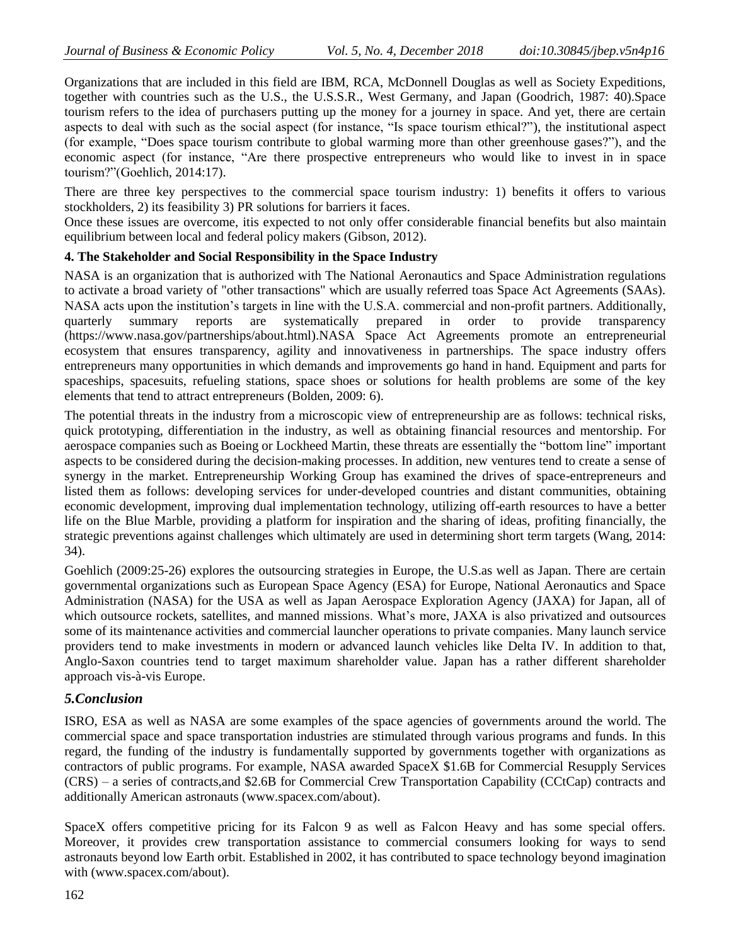Organizations that are included in this field are IBM, RCA, McDonnell Douglas as well as Society Expeditions, together with countries such as the U.S., the U.S.S.R., West Germany, and Japan (Goodrich, 1987: 40).Space tourism refers to the idea of purchasers putting up the money for a journey in space. And yet, there are certain aspects to deal with such as the social aspect (for instance, "Is space tourism ethical?"), the institutional aspect (for example, "Does space tourism contribute to global warming more than other greenhouse gases?"), and the economic aspect (for instance, "Are there prospective entrepreneurs who would like to invest in in space tourism?"(Goehlich, 2014:17).

There are three key perspectives to the commercial space tourism industry: 1) benefits it offers to various stockholders, 2) its feasibility 3) PR solutions for barriers it faces.

Once these issues are overcome, itis expected to not only offer considerable financial benefits but also maintain equilibrium between local and federal policy makers (Gibson, 2012).

### **4. The Stakeholder and Social Responsibility in the Space Industry**

NASA is an organization that is authorized with The National Aeronautics and Space Administration regulations to activate a broad variety of "other transactions" which are usually referred toas Space Act Agreements (SAAs). NASA acts upon the institution's targets in line with the U.S.A. commercial and non-profit partners. Additionally, quarterly summary reports are systematically prepared in order to provide transparency [\(https://www.nasa.gov/partnerships/about.html\)](https://www.nasa.gov/partnerships/about.html).NASA Space Act Agreements promote an entrepreneurial ecosystem that ensures transparency, agility and innovativeness in partnerships. The space industry offers entrepreneurs many opportunities in which demands and improvements go hand in hand. Equipment and parts for spaceships, spacesuits, refueling stations, space shoes or solutions for health problems are some of the key elements that tend to attract entrepreneurs (Bolden, 2009: 6).

The potential threats in the industry from a microscopic view of entrepreneurship are as follows: technical risks, quick prototyping, differentiation in the industry, as well as obtaining financial resources and mentorship. For aerospace companies such as Boeing or Lockheed Martin, these threats are essentially the "bottom line" important aspects to be considered during the decision-making processes. In addition, new ventures tend to create a sense of synergy in the market. Entrepreneurship Working Group has examined the drives of space-entrepreneurs and listed them as follows: developing services for under-developed countries and distant communities, obtaining economic development, improving dual implementation technology, utilizing off-earth resources to have a better life on the Blue Marble, providing a platform for inspiration and the sharing of ideas, profiting financially, the strategic preventions against challenges which ultimately are used in determining short term targets (Wang, 2014: 34).

Goehlich (2009:25-26) explores the outsourcing strategies in Europe, the U.S.as well as Japan. There are certain governmental organizations such as European Space Agency (ESA) for Europe, National Aeronautics and Space Administration (NASA) for the USA as well as Japan Aerospace Exploration Agency (JAXA) for Japan, all of which outsource rockets, satellites, and manned missions. What's more, JAXA is also privatized and outsources some of its maintenance activities and commercial launcher operations to private companies. Many launch service providers tend to make investments in modern or advanced launch vehicles like Delta IV. In addition to that, Anglo-Saxon countries tend to target maximum shareholder value. Japan has a rather different shareholder approach vis-à-vis Europe.

## *5.Conclusion*

ISRO, ESA as well as NASA are some examples of the space agencies of governments around the world. The commercial space and space transportation industries are stimulated through various programs and funds. In this regard, the funding of the industry is fundamentally supported by governments together with organizations as contractors of public programs. For example, NASA awarded SpaceX \$1.6B for Commercial Resupply Services (CRS) – a series of contracts,and \$2.6B for Commercial Crew Transportation Capability (CCtCap) contracts and additionally American astronauts [\(www.spacex.com/about\)](http://www.spacex.com/about).

SpaceX offers competitive pricing for its Falcon 9 as well as Falcon Heavy and has some special offers. Moreover, it provides crew transportation assistance to commercial consumers looking for ways to send astronauts beyond low Earth orbit. Established in 2002, it has contributed to space technology beyond imagination with [\(www.spacex.com/about\)](http://www.spacex.com/about).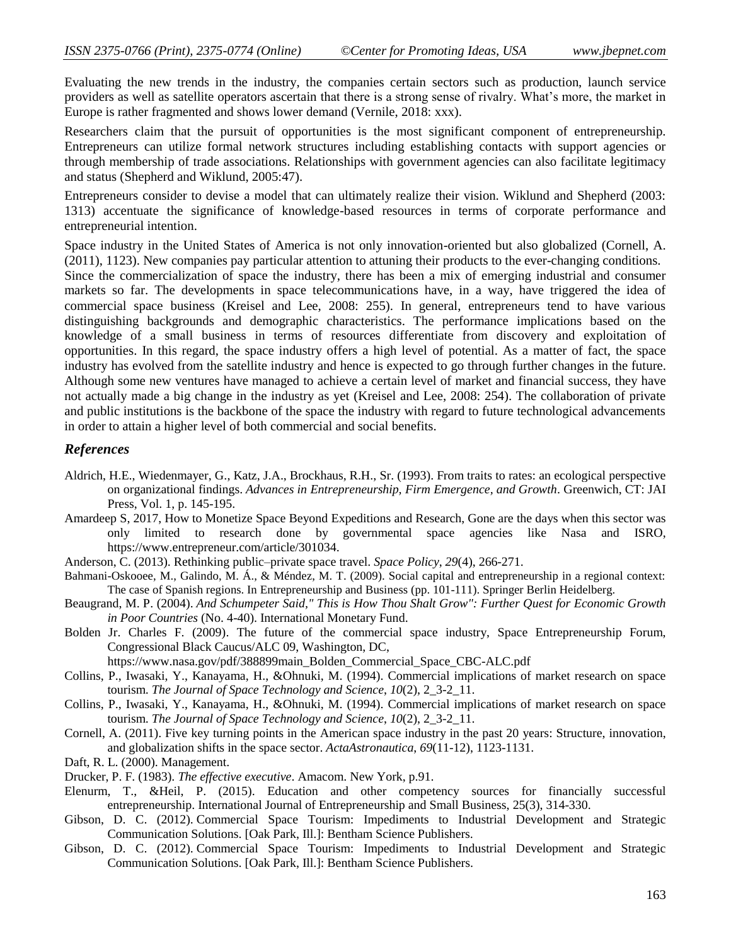Evaluating the new trends in the industry, the companies certain sectors such as production, launch service providers as well as satellite operators ascertain that there is a strong sense of rivalry. What's more, the market in Europe is rather fragmented and shows lower demand (Vernile, 2018: xxx).

Researchers claim that the pursuit of opportunities is the most significant component of entrepreneurship. Entrepreneurs can utilize formal network structures including establishing contacts with support agencies or through membership of trade associations. Relationships with government agencies can also facilitate legitimacy and status (Shepherd and Wiklund, 2005:47).

Entrepreneurs consider to devise a model that can ultimately realize their vision. Wiklund and Shepherd (2003: 1313) accentuate the significance of knowledge-based resources in terms of corporate performance and entrepreneurial intention.

Space industry in the United States of America is not only innovation-oriented but also globalized (Cornell, A. (2011), 1123). New companies pay particular attention to attuning their products to the ever-changing conditions.

Since the commercialization of space the industry, there has been a mix of emerging industrial and consumer markets so far. The developments in space telecommunications have, in a way, have triggered the idea of commercial space business (Kreisel and Lee, 2008: 255). In general, entrepreneurs tend to have various distinguishing backgrounds and demographic characteristics. The performance implications based on the knowledge of a small business in terms of resources differentiate from discovery and exploitation of opportunities. In this regard, the space industry offers a high level of potential. As a matter of fact, the space industry has evolved from the satellite industry and hence is expected to go through further changes in the future. Although some new ventures have managed to achieve a certain level of market and financial success, they have not actually made a big change in the industry as yet (Kreisel and Lee, 2008: 254). The collaboration of private and public institutions is the backbone of the space the industry with regard to future technological advancements in order to attain a higher level of both commercial and social benefits.

### *References*

- Aldrich, H.E., Wiedenmayer, G., Katz, J.A., Brockhaus, R.H., Sr. (1993). From traits to rates: an ecological perspective on organizational findings. *Advances in Entrepreneurship, Firm Emergence, and Growth*. Greenwich, CT: JAI Pres[s,](http://scholar.google.com/scholar?hl=en&q=++%0AAldrich%2C+%0AH.E.+%2C+%0A%0AWiedenmayer%2C+%0AG.++%2C+%0A+%0AKatz%2C+%0AJ.A.+%2C+%0A%0ABrockhaus%2C+%0AR.H.%2C+%0ASr.+++%281993%29.%0A%E2%80%98From+traits+to+rates%3A+an+ecological+perspective+on+organizational+findings%E2%80%99.%0AAdvances+in+Entrepreneurship%2C+Firm+Emergence%2C+and+Growth.%0A%0AGreenwich%2C+CT%3AJAI+Press+) Vol. 1, p. 145-195.
- Amardeep S, 2017, How to Monetize Space Beyond Expeditions and Research, Gone are the days when this sector was only limited to research done by governmental space agencies like Nasa and ISRO, [https://www.entrepreneur.com/article/301034.](https://www.entrepreneur.com/article/301034)
- Anderson, C. (2013). Rethinking public–private space travel. *Space Policy*, *29*(4), 266-271.
- Bahmani-Oskooee, M., Galindo, M. Á., & Méndez, M. T. (2009). Social capital and entrepreneurship in a regional context: The case of Spanish regions. In Entrepreneurship and Business (pp. 101-111). Springer Berlin Heidelberg.
- Beaugrand, M. P. (2004). *And Schumpeter Said," This is How Thou Shalt Grow": Further Quest for Economic Growth in Poor Countries* (No. 4-40). International Monetary Fund.
- Bolden Jr. Charles F. (2009). The future of the commercial space industry, Space Entrepreneurship Forum, Congressional Black Caucus/ALC 09, Washington, DC,

[https://www.nasa.gov/pdf/388899main\\_Bolden\\_Commercial\\_Space\\_CBC-ALC.pdf](https://www.nasa.gov/pdf/388899main_Bolden_Commercial_Space_CBC-ALC.pdf)

- Collins, P., Iwasaki, Y., Kanayama, H., &Ohnuki, M. (1994). Commercial implications of market research on space tourism. *The Journal of Space Technology and Science*, *10*(2), 2\_3-2\_11.
- Collins, P., Iwasaki, Y., Kanayama, H., &Ohnuki, M. (1994). Commercial implications of market research on space tourism. *The Journal of Space Technology and Science*, *10*(2), 2\_3-2\_11.
- Cornell, A. (2011). Five key turning points in the American space industry in the past 20 years: Structure, innovation, and globalization shifts in the space sector. *ActaAstronautica*, *69*(11-12), 1123-1131.
- Daft, R. L. (2000). Management.
- Drucker, P. F. (1983). *The effective executive*. Amacom. New York, p.91.
- Elenurm, T., &Heil, P. (2015). Education and other competency sources for financially successful entrepreneurship. International Journal of Entrepreneurship and Small Business, 25(3), 314-330.
- Gibson, D. C. (2012). Commercial Space Tourism: Impediments to Industrial Development and Strategic Communication Solutions. [Oak Park, Ill.]: Bentham Science Publishers.
- Gibson, D. C. (2012). Commercial Space Tourism: Impediments to Industrial Development and Strategic Communication Solutions. [Oak Park, Ill.]: Bentham Science Publishers.